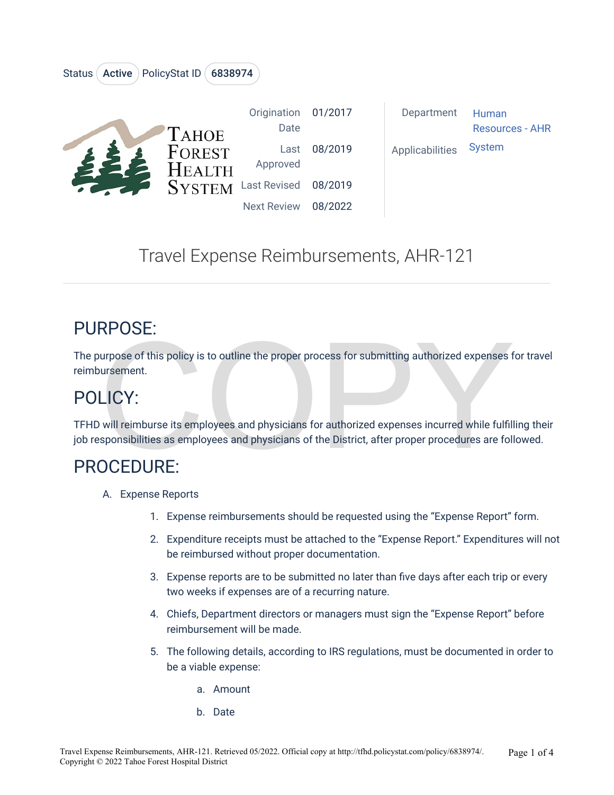| <b>AHOE</b><br>FOREST<br>$H$ EALTH<br>SYSTEM Last Revised 08/2019 | Origination<br>Date | 01/2017 | Department      | Human<br><b>Resources - AHR</b> |
|-------------------------------------------------------------------|---------------------|---------|-----------------|---------------------------------|
|                                                                   | Last<br>Approved    | 08/2019 | Applicabilities | <b>System</b>                   |
|                                                                   |                     |         |                 |                                 |
|                                                                   | <b>Next Review</b>  | 08/2022 |                 |                                 |

# Travel Expense Reimbursements, AHR-121

### PURPOSE:

NPUSE.<br>
urpose of this policy is to outline the proper process for submitting authorized expenses for<br>
ursement.<br>
LICY:<br>
will reimburse its employees and physicians for authorized expenses incurred while fulfill<br>
sponsibil The purpose of this policy is to outline the proper process for submitting authorized expenses for travel reimbursement.

# POLICY:

TFHD will reimburse its employees and physicians for authorized expenses incurred while fulfilling their job responsibilities as employees and physicians of the District, after proper procedures are followed.

### PROCEDURE:

A. Expense Reports

Status (Active ) PolicyStat ID (6838974

- 1. Expense reimbursements should be requested using the "Expense Report" form.
- 2. Expenditure receipts must be attached to the "Expense Report." Expenditures will not be reimbursed without proper documentation.
- 3. Expense reports are to be submitted no later than five days after each trip or every two weeks if expenses are of a recurring nature.
- 4. Chiefs, Department directors or managers must sign the "Expense Report" before reimbursement will be made.
- 5. The following details, according to IRS regulations, must be documented in order to be a viable expense:
	- a. Amount
	- b. Date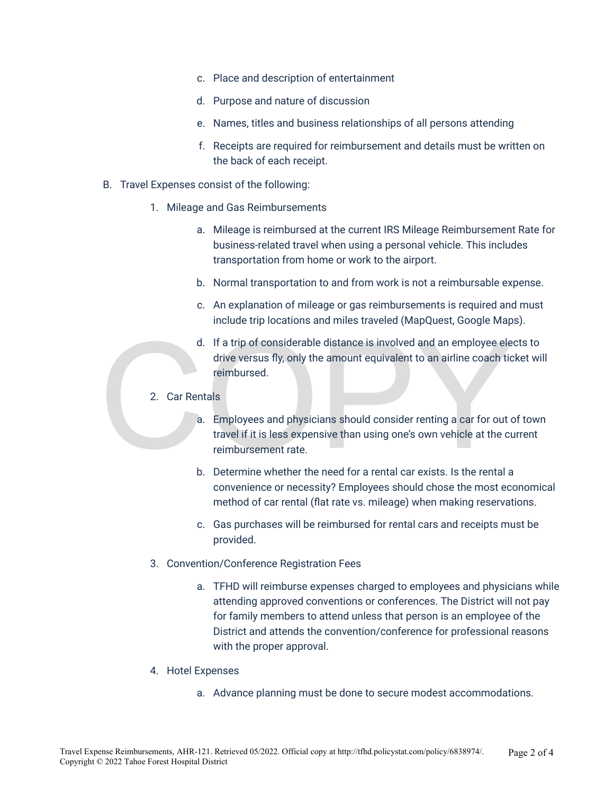- c. Place and description of entertainment
- d. Purpose and nature of discussion
- e. Names, titles and business relationships of all persons attending
- f. Receipts are required for reimbursement and details must be written on the back of each receipt.
- B. Travel Expenses consist of the following:
	- 1. Mileage and Gas Reimbursements
		- a. Mileage is reimbursed at the current IRS Mileage Reimbursement Rate for business-related travel when using a personal vehicle. This includes transportation from home or work to the airport.
		- b. Normal transportation to and from work is not a reimbursable expense.
		- c. An explanation of mileage or gas reimbursements is required and must include trip locations and miles traveled (MapQuest, Google Maps).
		- d. If a trip of considerable distance is involved and an employee elects to drive versus fly, only the amount equivalent to an airline coach ticket will reimbursed.
	- 2. Car Rentals
- d. If a trip of considerable distance is involved and an employee electric versus fly, only the amount equivalent to an airline coach tic reimbursed.<br>
2. Car Rentals<br>
a. Employees and physicians should consider renting a c a. Employees and physicians should consider renting a car for out of town travel if it is less expensive than using one's own vehicle at the current reimbursement rate.
	- b. Determine whether the need for a rental car exists. Is the rental a convenience or necessity? Employees should chose the most economical method of car rental (flat rate vs. mileage) when making reservations.
	- c. Gas purchases will be reimbursed for rental cars and receipts must be provided.
	- 3. Convention/Conference Registration Fees
		- a. TFHD will reimburse expenses charged to employees and physicians while attending approved conventions or conferences. The District will not pay for family members to attend unless that person is an employee of the District and attends the convention/conference for professional reasons with the proper approval.
	- 4. Hotel Expenses
		- a. Advance planning must be done to secure modest accommodations.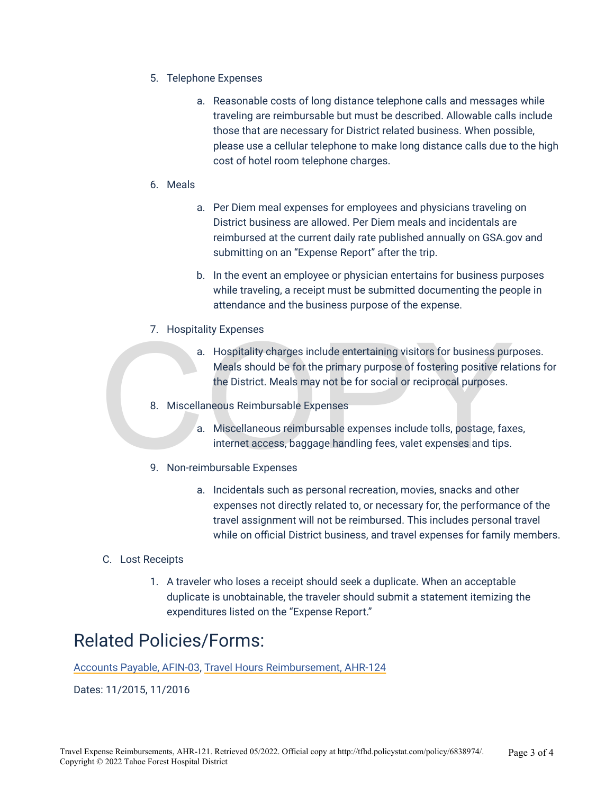- 5. Telephone Expenses
	- a. Reasonable costs of long distance telephone calls and messages while traveling are reimbursable but must be described. Allowable calls include those that are necessary for District related business. When possible, please use a cellular telephone to make long distance calls due to the high cost of hotel room telephone charges.
- 6. Meals
	- a. Per Diem meal expenses for employees and physicians traveling on District business are allowed. Per Diem meals and incidentals are reimbursed at the current daily rate published annually on GSA.gov and submitting on an "Expense Report" after the trip.
	- b. In the event an employee or physician entertains for business purposes while traveling, a receipt must be submitted documenting the people in attendance and the business purpose of the expense.
- 7. Hospitality Expenses
- 2. Hospitality charges include entertaining visitors for business pure<br>Meals should be for the primary purpose of fostering positive relation<br>District. Meals may not be for social or reciprocal purposes.<br>8. Miscellaneous R a. Hospitality charges include entertaining visitors for business purposes. Meals should be for the primary purpose of fostering positive relations for the District. Meals may not be for social or reciprocal purposes.
	- 8. Miscellaneous Reimbursable Expenses
		- a. Miscellaneous reimbursable expenses include tolls, postage, faxes, internet access, baggage handling fees, valet expenses and tips.
	- 9. Non-reimbursable Expenses
		- a. Incidentals such as personal recreation, movies, snacks and other expenses not directly related to, or necessary for, the performance of the travel assignment will not be reimbursed. This includes personal travel while on official District business, and travel expenses for family members.

#### C. Lost Receipts

1. A traveler who loses a receipt should seek a duplicate. When an acceptable duplicate is unobtainable, the traveler should submit a statement itemizing the expenditures listed on the "Expense Report."

#### Related Policies/Forms:

[Accounts Payable, AFIN-03](http://tfhd.policystat.com/policy/2689687/latest/), [Travel Hours Reimbursement, AHR-124](http://tfhd.policystat.com/policy/2483169/latest/)

Dates: 11/2015, 11/2016